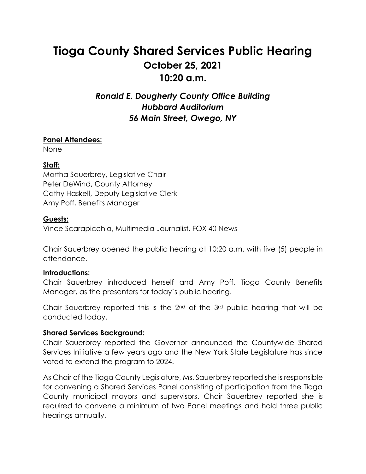# **Tioga County Shared Services Public Hearing October 25, 2021 10:20 a.m.**

## *Ronald E. Dougherty County Office Building Hubbard Auditorium 56 Main Street, Owego, NY*

#### **Panel Attendees:**

None

#### **Staff:**

Martha Sauerbrey, Legislative Chair Peter DeWind, County Attorney Cathy Haskell, Deputy Legislative Clerk Amy Poff, Benefits Manager

#### **Guests:**

Vince Scarapicchia, Multimedia Journalist, FOX 40 News

Chair Sauerbrey opened the public hearing at 10:20 a.m. with five (5) people in attendance.

#### **Introductions:**

Chair Sauerbrey introduced herself and Amy Poff, Tioga County Benefits Manager, as the presenters for today's public hearing.

Chair Sauerbrey reported this is the 2nd of the 3rd public hearing that will be conducted today.

#### **Shared Services Background:**

Chair Sauerbrey reported the Governor announced the Countywide Shared Services Initiative a few years ago and the New York State Legislature has since voted to extend the program to 2024.

As Chair of the Tioga County Legislature, Ms. Sauerbrey reported she is responsible for convening a Shared Services Panel consisting of participation from the Tioga County municipal mayors and supervisors. Chair Sauerbrey reported she is required to convene a minimum of two Panel meetings and hold three public hearings annually.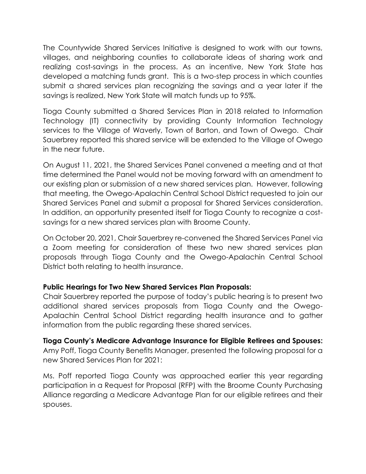The Countywide Shared Services Initiative is designed to work with our towns, villages, and neighboring counties to collaborate ideas of sharing work and realizing cost-savings in the process. As an incentive, New York State has developed a matching funds grant. This is a two-step process in which counties submit a shared services plan recognizing the savings and a year later if the savings is realized, New York State will match funds up to 95%.

Tioga County submitted a Shared Services Plan in 2018 related to Information Technology (IT) connectivity by providing County Information Technology services to the Village of Waverly, Town of Barton, and Town of Owego. Chair Sauerbrey reported this shared service will be extended to the Village of Owego in the near future.

On August 11, 2021, the Shared Services Panel convened a meeting and at that time determined the Panel would not be moving forward with an amendment to our existing plan or submission of a new shared services plan. However, following that meeting, the Owego-Apalachin Central School District requested to join our Shared Services Panel and submit a proposal for Shared Services consideration. In addition, an opportunity presented itself for Tioga County to recognize a costsavings for a new shared services plan with Broome County.

On October 20, 2021, Chair Sauerbrey re-convened the Shared Services Panel via a Zoom meeting for consideration of these two new shared services plan proposals through Tioga County and the Owego-Apalachin Central School District both relating to health insurance.

#### **Public Hearings for Two New Shared Services Plan Proposals:**

Chair Sauerbrey reported the purpose of today's public hearing is to present two additional shared services proposals from Tioga County and the Owego-Apalachin Central School District regarding health insurance and to gather information from the public regarding these shared services.

**Tioga County's Medicare Advantage Insurance for Eligible Retirees and Spouses:**  Amy Poff, Tioga County Benefits Manager, presented the following proposal for a new Shared Services Plan for 2021:

Ms. Poff reported Tioga County was approached earlier this year regarding participation in a Request for Proposal (RFP) with the Broome County Purchasing Alliance regarding a Medicare Advantage Plan for our eligible retirees and their spouses.